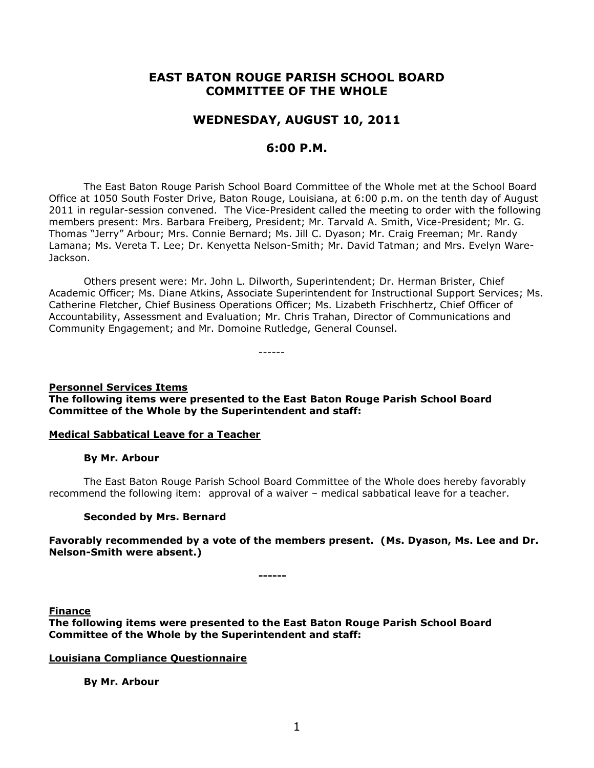# **EAST BATON ROUGE PARISH SCHOOL BOARD COMMITTEE OF THE WHOLE**

# **WEDNESDAY, AUGUST 10, 2011**

# **6:00 P.M.**

The East Baton Rouge Parish School Board Committee of the Whole met at the School Board Office at 1050 South Foster Drive, Baton Rouge, Louisiana, at 6:00 p.m. on the tenth day of August 2011 in regular-session convened. The Vice-President called the meeting to order with the following members present: Mrs. Barbara Freiberg, President; Mr. Tarvald A. Smith, Vice-President; Mr. G. Thomas "Jerry" Arbour; Mrs. Connie Bernard; Ms. Jill C. Dyason; Mr. Craig Freeman; Mr. Randy Lamana; Ms. Vereta T. Lee; Dr. Kenyetta Nelson-Smith; Mr. David Tatman; and Mrs. Evelyn Ware-Jackson.

Others present were: Mr. John L. Dilworth, Superintendent; Dr. Herman Brister, Chief Academic Officer; Ms. Diane Atkins, Associate Superintendent for Instructional Support Services; Ms. Catherine Fletcher, Chief Business Operations Officer; Ms. Lizabeth Frischhertz, Chief Officer of Accountability, Assessment and Evaluation; Mr. Chris Trahan, Director of Communications and Community Engagement; and Mr. Domoine Rutledge, General Counsel.

------

#### **Personnel Services Items The following items were presented to the East Baton Rouge Parish School Board Committee of the Whole by the Superintendent and staff:**

## **Medical Sabbatical Leave for a Teacher**

## **By Mr. Arbour**

The East Baton Rouge Parish School Board Committee of the Whole does hereby favorably recommend the following item: approval of a waiver – medical sabbatical leave for a teacher.

## **Seconded by Mrs. Bernard**

## **Favorably recommended by a vote of the members present. (Ms. Dyason, Ms. Lee and Dr. Nelson-Smith were absent.)**

**------**

**Finance**

**The following items were presented to the East Baton Rouge Parish School Board Committee of the Whole by the Superintendent and staff:**

## **Louisiana Compliance Questionnaire**

**By Mr. Arbour**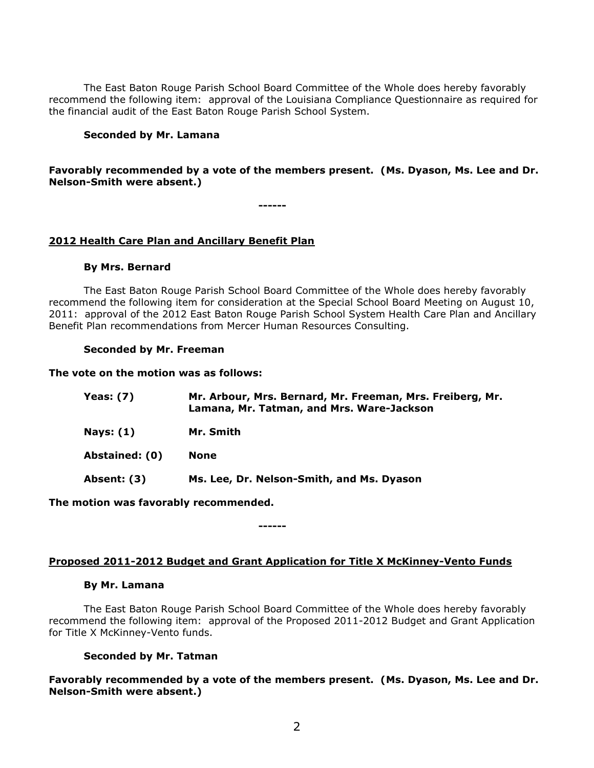The East Baton Rouge Parish School Board Committee of the Whole does hereby favorably recommend the following item: approval of the Louisiana Compliance Questionnaire as required for the financial audit of the East Baton Rouge Parish School System.

#### **Seconded by Mr. Lamana**

## **Favorably recommended by a vote of the members present. (Ms. Dyason, Ms. Lee and Dr. Nelson-Smith were absent.)**

**------**

## **2012 Health Care Plan and Ancillary Benefit Plan**

#### **By Mrs. Bernard**

The East Baton Rouge Parish School Board Committee of the Whole does hereby favorably recommend the following item for consideration at the Special School Board Meeting on August 10, 2011: approval of the 2012 East Baton Rouge Parish School System Health Care Plan and Ancillary Benefit Plan recommendations from Mercer Human Resources Consulting.

#### **Seconded by Mr. Freeman**

**The vote on the motion was as follows:**

| Yeas: $(7)$    | Mr. Arbour, Mrs. Bernard, Mr. Freeman, Mrs. Freiberg, Mr.<br>Lamana, Mr. Tatman, and Mrs. Ware-Jackson |
|----------------|--------------------------------------------------------------------------------------------------------|
| Nays: $(1)$    | Mr. Smith                                                                                              |
| Abstained: (0) | <b>None</b>                                                                                            |
| Absent: (3)    | Ms. Lee, Dr. Nelson-Smith, and Ms. Dyason                                                              |

**The motion was favorably recommended.**

#### **Proposed 2011-2012 Budget and Grant Application for Title X McKinney-Vento Funds**

**------**

#### **By Mr. Lamana**

The East Baton Rouge Parish School Board Committee of the Whole does hereby favorably recommend the following item: approval of the Proposed 2011-2012 Budget and Grant Application for Title X McKinney-Vento funds.

#### **Seconded by Mr. Tatman**

**Favorably recommended by a vote of the members present. (Ms. Dyason, Ms. Lee and Dr. Nelson-Smith were absent.)**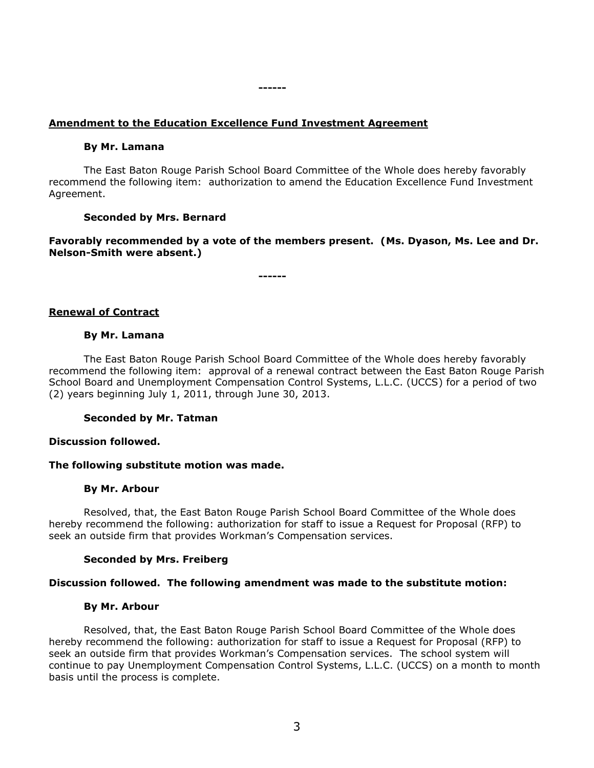## **Amendment to the Education Excellence Fund Investment Agreement**

#### **By Mr. Lamana**

The East Baton Rouge Parish School Board Committee of the Whole does hereby favorably recommend the following item: authorization to amend the Education Excellence Fund Investment Agreement.

#### **Seconded by Mrs. Bernard**

**Favorably recommended by a vote of the members present. (Ms. Dyason, Ms. Lee and Dr. Nelson-Smith were absent.)**

**------**

**------**

## **Renewal of Contract**

#### **By Mr. Lamana**

The East Baton Rouge Parish School Board Committee of the Whole does hereby favorably recommend the following item: approval of a renewal contract between the East Baton Rouge Parish School Board and Unemployment Compensation Control Systems, L.L.C. (UCCS) for a period of two (2) years beginning July 1, 2011, through June 30, 2013.

#### **Seconded by Mr. Tatman**

#### **Discussion followed.**

#### **The following substitute motion was made.**

#### **By Mr. Arbour**

Resolved, that, the East Baton Rouge Parish School Board Committee of the Whole does hereby recommend the following: authorization for staff to issue a Request for Proposal (RFP) to seek an outside firm that provides Workman's Compensation services.

#### **Seconded by Mrs. Freiberg**

#### **Discussion followed. The following amendment was made to the substitute motion:**

#### **By Mr. Arbour**

Resolved, that, the East Baton Rouge Parish School Board Committee of the Whole does hereby recommend the following: authorization for staff to issue a Request for Proposal (RFP) to seek an outside firm that provides Workman's Compensation services. The school system will continue to pay Unemployment Compensation Control Systems, L.L.C. (UCCS) on a month to month basis until the process is complete.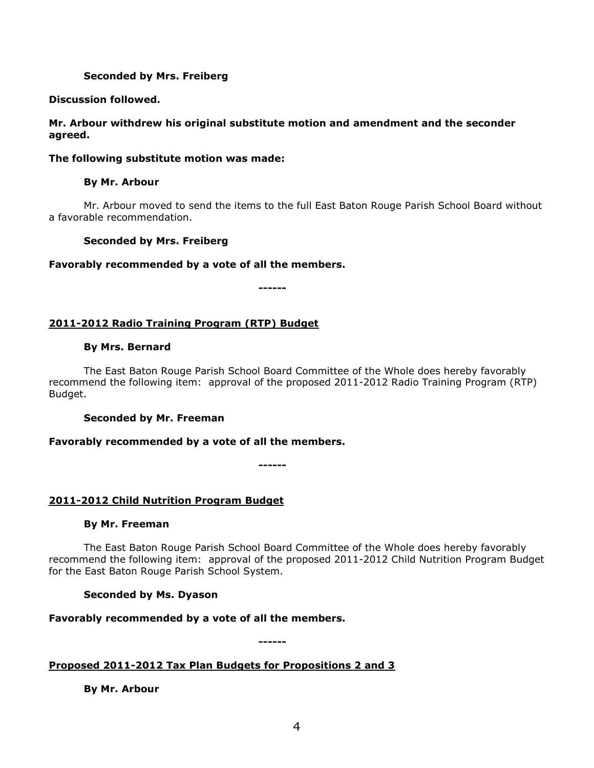## **Seconded by Mrs. Freiberg**

## **Discussion followed.**

## **Mr. Arbour withdrew his original substitute motion and amendment and the seconder agreed.**

## **The following substitute motion was made:**

## **By Mr. Arbour**

Mr. Arbour moved to send the items to the full East Baton Rouge Parish School Board without a favorable recommendation.

## **Seconded by Mrs. Freiberg**

## **Favorably recommended by a vote of all the members.**

**------**

## **2011-2012 Radio Training Program (RTP) Budget**

## **By Mrs. Bernard**

The East Baton Rouge Parish School Board Committee of the Whole does hereby favorably recommend the following item: approval of the proposed 2011-2012 Radio Training Program (RTP) Budget.

## **Seconded by Mr. Freeman**

## **Favorably recommended by a vote of all the members.**

**------**

## **2011-2012 Child Nutrition Program Budget**

## **By Mr. Freeman**

The East Baton Rouge Parish School Board Committee of the Whole does hereby favorably recommend the following item: approval of the proposed 2011-2012 Child Nutrition Program Budget for the East Baton Rouge Parish School System.

## **Seconded by Ms. Dyason**

## **Favorably recommended by a vote of all the members.**

**------**

## **Proposed 2011-2012 Tax Plan Budgets for Propositions 2 and 3**

**By Mr. Arbour**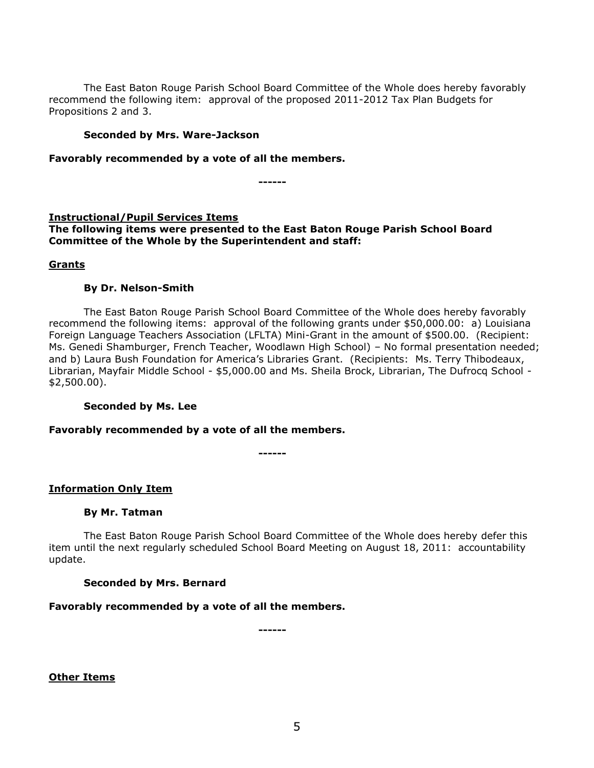The East Baton Rouge Parish School Board Committee of the Whole does hereby favorably recommend the following item: approval of the proposed 2011-2012 Tax Plan Budgets for Propositions 2 and 3.

#### **Seconded by Mrs. Ware-Jackson**

**Favorably recommended by a vote of all the members.**

**------**

## **Instructional/Pupil Services Items**

**The following items were presented to the East Baton Rouge Parish School Board Committee of the Whole by the Superintendent and staff:**

## **Grants**

## **By Dr. Nelson-Smith**

The East Baton Rouge Parish School Board Committee of the Whole does hereby favorably recommend the following items: approval of the following grants under \$50,000.00: a) Louisiana Foreign Language Teachers Association (LFLTA) Mini-Grant in the amount of \$500.00. (Recipient: Ms. Genedi Shamburger, French Teacher, Woodlawn High School) – No formal presentation needed; and b) Laura Bush Foundation for America's Libraries Grant. (Recipients: Ms. Terry Thibodeaux, Librarian, Mayfair Middle School - \$5,000.00 and Ms. Sheila Brock, Librarian, The Dufrocq School - \$2,500.00).

## **Seconded by Ms. Lee**

## **Favorably recommended by a vote of all the members.**

**------**

## **Information Only Item**

## **By Mr. Tatman**

The East Baton Rouge Parish School Board Committee of the Whole does hereby defer this item until the next regularly scheduled School Board Meeting on August 18, 2011: accountability update.

## **Seconded by Mrs. Bernard**

## **Favorably recommended by a vote of all the members.**

**------**

**Other Items**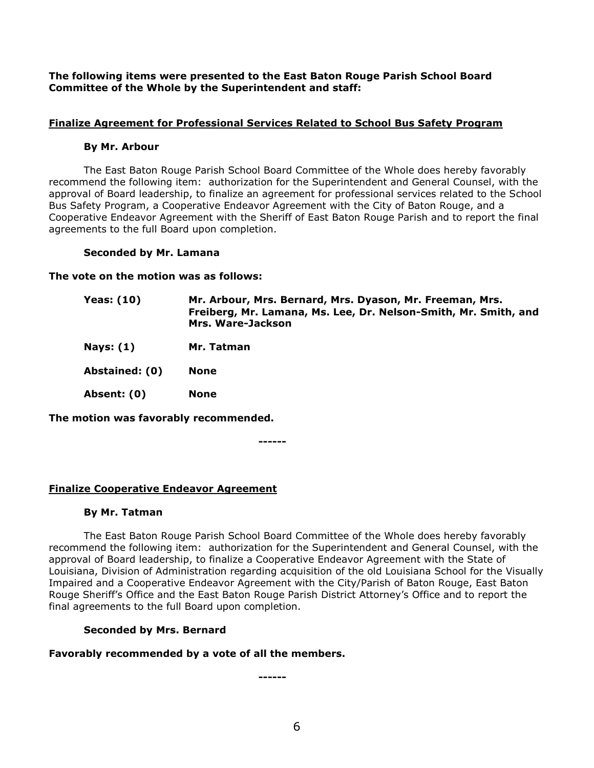**The following items were presented to the East Baton Rouge Parish School Board Committee of the Whole by the Superintendent and staff:**

## **Finalize Agreement for Professional Services Related to School Bus Safety Program**

## **By Mr. Arbour**

The East Baton Rouge Parish School Board Committee of the Whole does hereby favorably recommend the following item: authorization for the Superintendent and General Counsel, with the approval of Board leadership, to finalize an agreement for professional services related to the School Bus Safety Program, a Cooperative Endeavor Agreement with the City of Baton Rouge, and a Cooperative Endeavor Agreement with the Sheriff of East Baton Rouge Parish and to report the final agreements to the full Board upon completion.

## **Seconded by Mr. Lamana**

**The vote on the motion was as follows:**

| <b>Yeas: (10)</b>       | Mr. Arbour, Mrs. Bernard, Mrs. Dyason, Mr. Freeman, Mrs.<br>Freiberg, Mr. Lamana, Ms. Lee, Dr. Nelson-Smith, Mr. Smith, and<br>Mrs. Ware-Jackson |
|-------------------------|--------------------------------------------------------------------------------------------------------------------------------------------------|
| Nays: $(1)$             | Mr. Tatman                                                                                                                                       |
| Abstatator $\mathbf{A}$ | $\mathbf{M}$ $\mathbf{M}$                                                                                                                        |

**Abstained: (0) None**

**Absent: (0) None**

**The motion was favorably recommended.**

**------**

## **Finalize Cooperative Endeavor Agreement**

## **By Mr. Tatman**

The East Baton Rouge Parish School Board Committee of the Whole does hereby favorably recommend the following item: authorization for the Superintendent and General Counsel, with the approval of Board leadership, to finalize a Cooperative Endeavor Agreement with the State of Louisiana, Division of Administration regarding acquisition of the old Louisiana School for the Visually Impaired and a Cooperative Endeavor Agreement with the City/Parish of Baton Rouge, East Baton Rouge Sheriff's Office and the East Baton Rouge Parish District Attorney's Office and to report the final agreements to the full Board upon completion.

## **Seconded by Mrs. Bernard**

## **Favorably recommended by a vote of all the members.**

**------**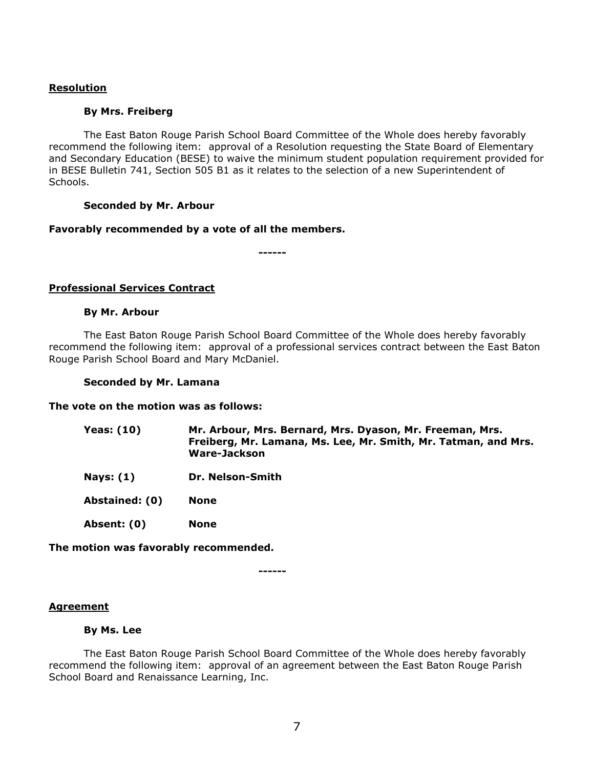## **Resolution**

## **By Mrs. Freiberg**

The East Baton Rouge Parish School Board Committee of the Whole does hereby favorably recommend the following item: approval of a Resolution requesting the State Board of Elementary and Secondary Education (BESE) to waive the minimum student population requirement provided for in BESE Bulletin 741, Section 505 B1 as it relates to the selection of a new Superintendent of Schools.

## **Seconded by Mr. Arbour**

#### **Favorably recommended by a vote of all the members.**

**------**

## **Professional Services Contract**

#### **By Mr. Arbour**

The East Baton Rouge Parish School Board Committee of the Whole does hereby favorably recommend the following item: approval of a professional services contract between the East Baton Rouge Parish School Board and Mary McDaniel.

#### **Seconded by Mr. Lamana**

#### **The vote on the motion was as follows:**

| Yeas: (10) | Mr. Arbour, Mrs. Bernard, Mrs. Dyason, Mr. Freeman, Mrs.       |
|------------|----------------------------------------------------------------|
|            | Freiberg, Mr. Lamana, Ms. Lee, Mr. Smith, Mr. Tatman, and Mrs. |
|            | Ware-Jackson                                                   |
|            |                                                                |

**Nays: (1) Dr. Nelson-Smith** 

**Abstained: (0) None**

**Absent: (0) None**

**The motion was favorably recommended.**

**------**

#### **Agreement**

#### **By Ms. Lee**

The East Baton Rouge Parish School Board Committee of the Whole does hereby favorably recommend the following item: approval of an agreement between the East Baton Rouge Parish School Board and Renaissance Learning, Inc.